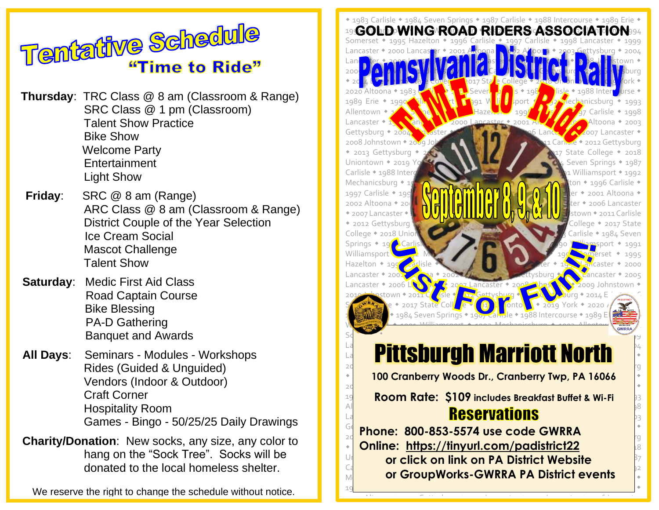

**Thursday**: TRC Class @ 8 am (Classroom & Range) SRC Class @ 1 pm (Classroom) Talent Show Practice Bike Show Welcome Party **Entertainment** Light Show

- **Friday**: SRC @ 8 am (Range) ARC Class @ 8 am (Classroom & Range) District Couple of the Year Selection Ice Cream Social Mascot Challenge Talent Show
- **Saturday**: Medic First Aid Class Road Captain Course Bike Blessing PA-D Gathering Banquet and Awards
- **All Days**: Seminars Modules Workshops Rides (Guided & Unguided) Vendors (Indoor & Outdoor) Craft Corner Hospitality Room Games - Bingo - 50/25/25 Daily Drawings
- **Charity/Donation**: New socks, any size, any color to hang on the "Sock Tree". Socks will be donated to the local homeless shelter.

We reserve the right to change the schedule without notice.